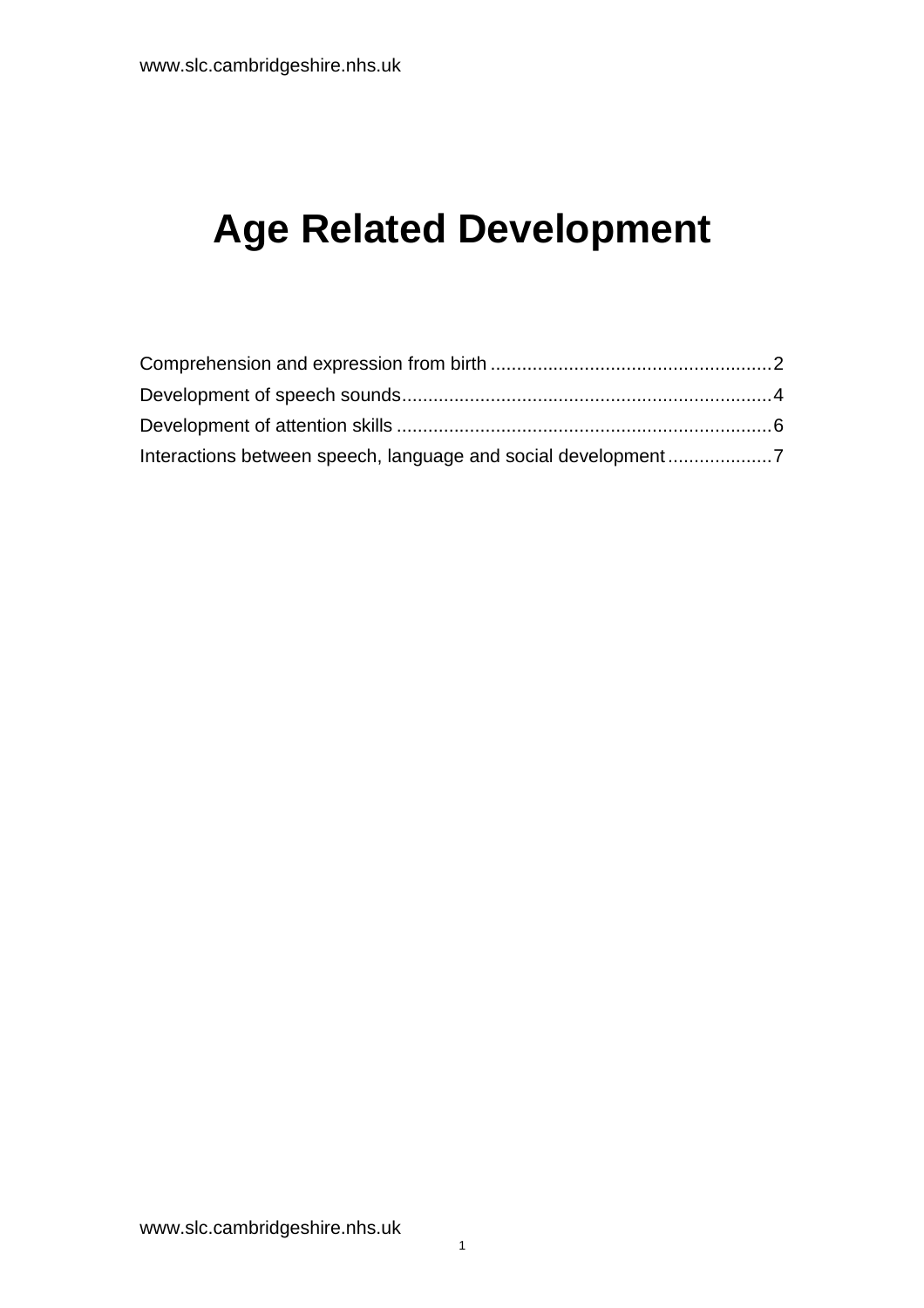# **Age Related Development**

| Interactions between speech, language and social development7 |  |
|---------------------------------------------------------------|--|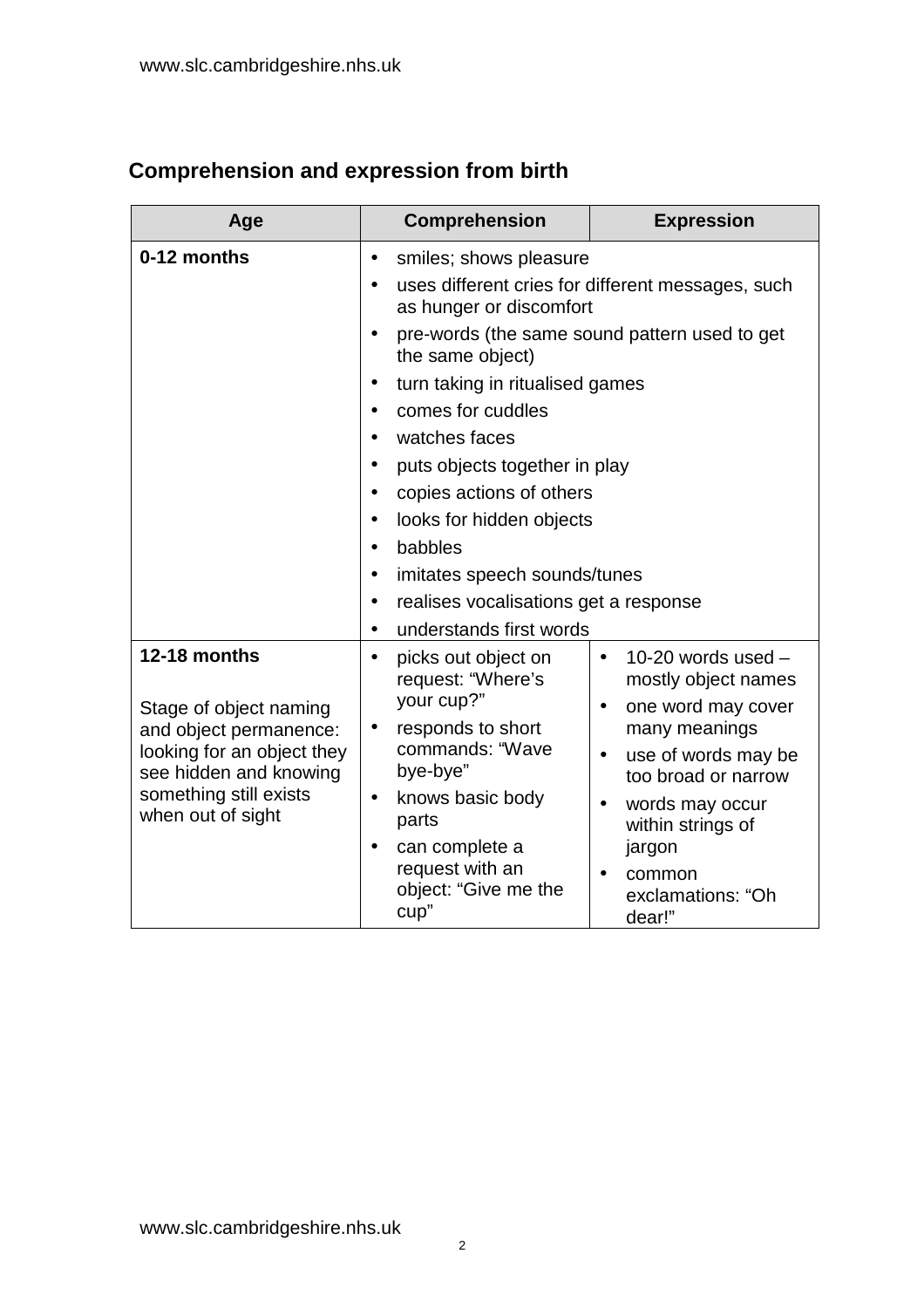# <span id="page-1-0"></span>**Comprehension and expression from birth**

| Age                                                  | Comprehension                                                                             | <b>Expression</b>                                        |  |  |  |
|------------------------------------------------------|-------------------------------------------------------------------------------------------|----------------------------------------------------------|--|--|--|
| 0-12 months                                          | smiles; shows pleasure<br>$\bullet$                                                       |                                                          |  |  |  |
|                                                      | uses different cries for different messages, such<br>$\bullet$<br>as hunger or discomfort |                                                          |  |  |  |
|                                                      | pre-words (the same sound pattern used to get<br>$\bullet$<br>the same object)            |                                                          |  |  |  |
|                                                      | $\bullet$                                                                                 | turn taking in ritualised games                          |  |  |  |
|                                                      | comes for cuddles<br>$\bullet$                                                            |                                                          |  |  |  |
|                                                      | watches faces<br>$\bullet$                                                                |                                                          |  |  |  |
|                                                      | puts objects together in play<br>$\bullet$                                                |                                                          |  |  |  |
|                                                      | copies actions of others<br>$\bullet$                                                     |                                                          |  |  |  |
|                                                      | looks for hidden objects<br>$\bullet$                                                     |                                                          |  |  |  |
|                                                      | babbles<br>$\bullet$                                                                      |                                                          |  |  |  |
|                                                      | imitates speech sounds/tunes<br>$\bullet$                                                 |                                                          |  |  |  |
|                                                      | realises vocalisations get a response<br>$\bullet$                                        |                                                          |  |  |  |
|                                                      | understands first words<br>$\bullet$                                                      |                                                          |  |  |  |
| 12-18 months                                         | picks out object on<br>$\bullet$<br>request: "Where's                                     | 10-20 words used $-$<br>$\bullet$<br>mostly object names |  |  |  |
| Stage of object naming<br>and object permanence:     | your cup?"<br>responds to short<br>$\bullet$                                              | one word may cover<br>$\bullet$<br>many meanings         |  |  |  |
| looking for an object they<br>see hidden and knowing | commands: "Wave<br>bye-bye"                                                               | use of words may be<br>$\bullet$<br>too broad or narrow  |  |  |  |
| something still exists<br>when out of sight          | knows basic body<br>$\bullet$<br>parts                                                    | words may occur<br>$\bullet$<br>within strings of        |  |  |  |
|                                                      | can complete a<br>$\bullet$                                                               | jargon                                                   |  |  |  |
|                                                      | request with an<br>object: "Give me the<br>cup"                                           | common<br>exclamations: "Oh<br>dear!"                    |  |  |  |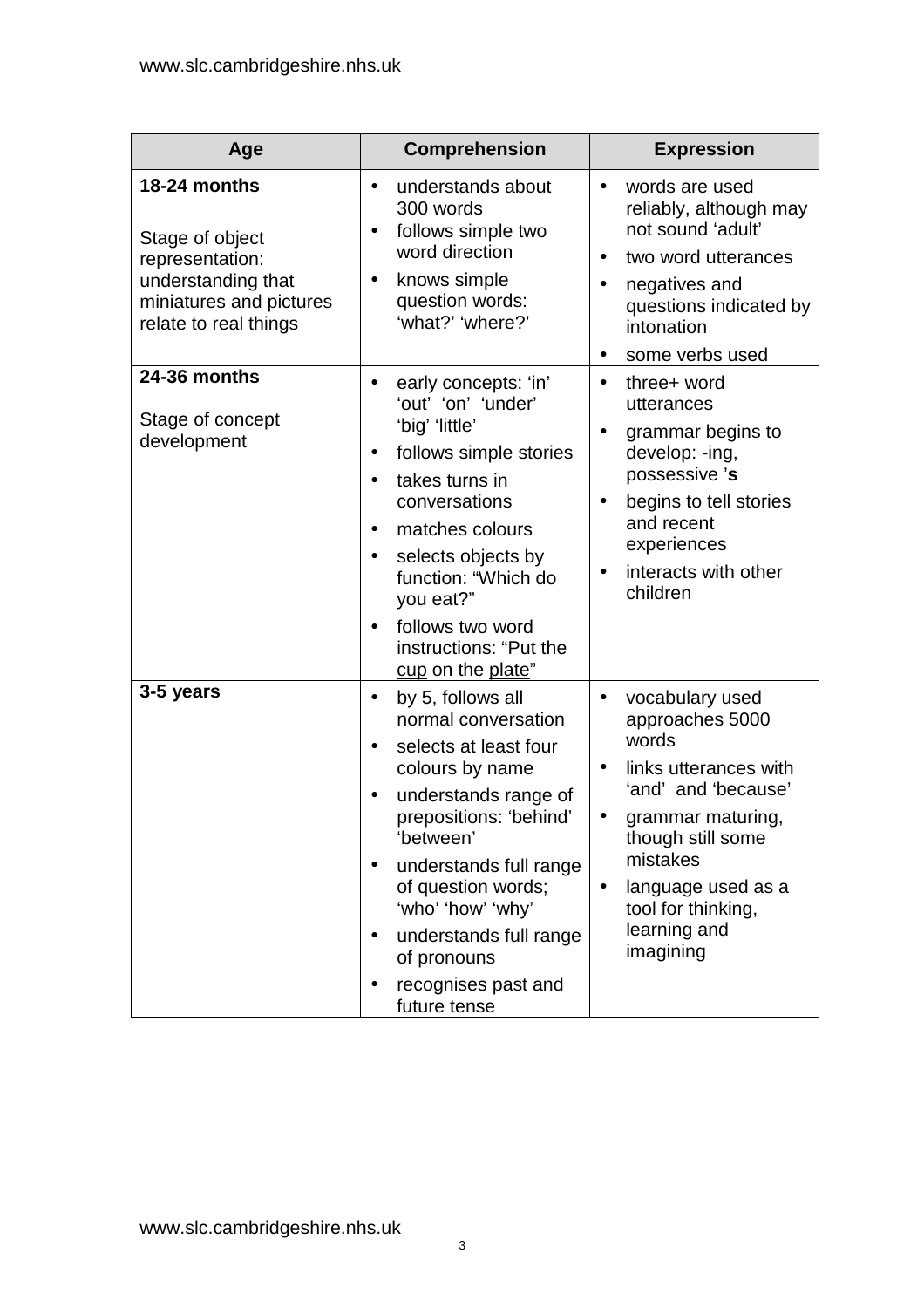| Age                                                                                                                          | <b>Comprehension</b>                                                                                                                                                                                                                                                                                                                                                      | <b>Expression</b>                                                                                                                                                                                                                                    |
|------------------------------------------------------------------------------------------------------------------------------|---------------------------------------------------------------------------------------------------------------------------------------------------------------------------------------------------------------------------------------------------------------------------------------------------------------------------------------------------------------------------|------------------------------------------------------------------------------------------------------------------------------------------------------------------------------------------------------------------------------------------------------|
| 18-24 months<br>Stage of object<br>representation:<br>understanding that<br>miniatures and pictures<br>relate to real things | understands about<br>$\bullet$<br>300 words<br>follows simple two<br>$\bullet$<br>word direction<br>knows simple<br>$\bullet$<br>question words:<br>'what?' 'where?'                                                                                                                                                                                                      | words are used<br>$\bullet$<br>reliably, although may<br>not sound 'adult'<br>two word utterances<br>negatives and<br>$\bullet$<br>questions indicated by<br>intonation<br>some verbs used<br>$\bullet$                                              |
| 24-36 months<br>Stage of concept<br>development                                                                              | early concepts: 'in'<br>$\bullet$<br>'out' 'on' 'under'<br>'big' 'little'<br>follows simple stories<br>$\bullet$<br>takes turns in<br>$\bullet$<br>conversations<br>matches colours<br>$\bullet$<br>selects objects by<br>$\bullet$<br>function: "Which do<br>you eat?"<br>follows two word<br>$\bullet$<br>instructions: "Put the<br>cup on the plate"                   | three+ word<br>$\bullet$<br>utterances<br>grammar begins to<br>$\bullet$<br>develop: -ing,<br>possessive 's<br>begins to tell stories<br>and recent<br>experiences<br>interacts with other<br>children                                               |
| 3-5 years                                                                                                                    | by 5, follows all<br>$\bullet$<br>normal conversation<br>selects at least four<br>$\bullet$<br>colours by name<br>understands range of<br>prepositions: 'behind'<br>'between'<br>understands full range<br>$\bullet$<br>of question words;<br>'who' 'how' 'why'<br>understands full range<br>$\bullet$<br>of pronouns<br>recognises past and<br>$\bullet$<br>future tense | vocabulary used<br>$\bullet$<br>approaches 5000<br>words<br>links utterances with<br>'and' and 'because'<br>grammar maturing,<br>though still some<br>mistakes<br>language used as a<br>$\bullet$<br>tool for thinking,<br>learning and<br>imagining |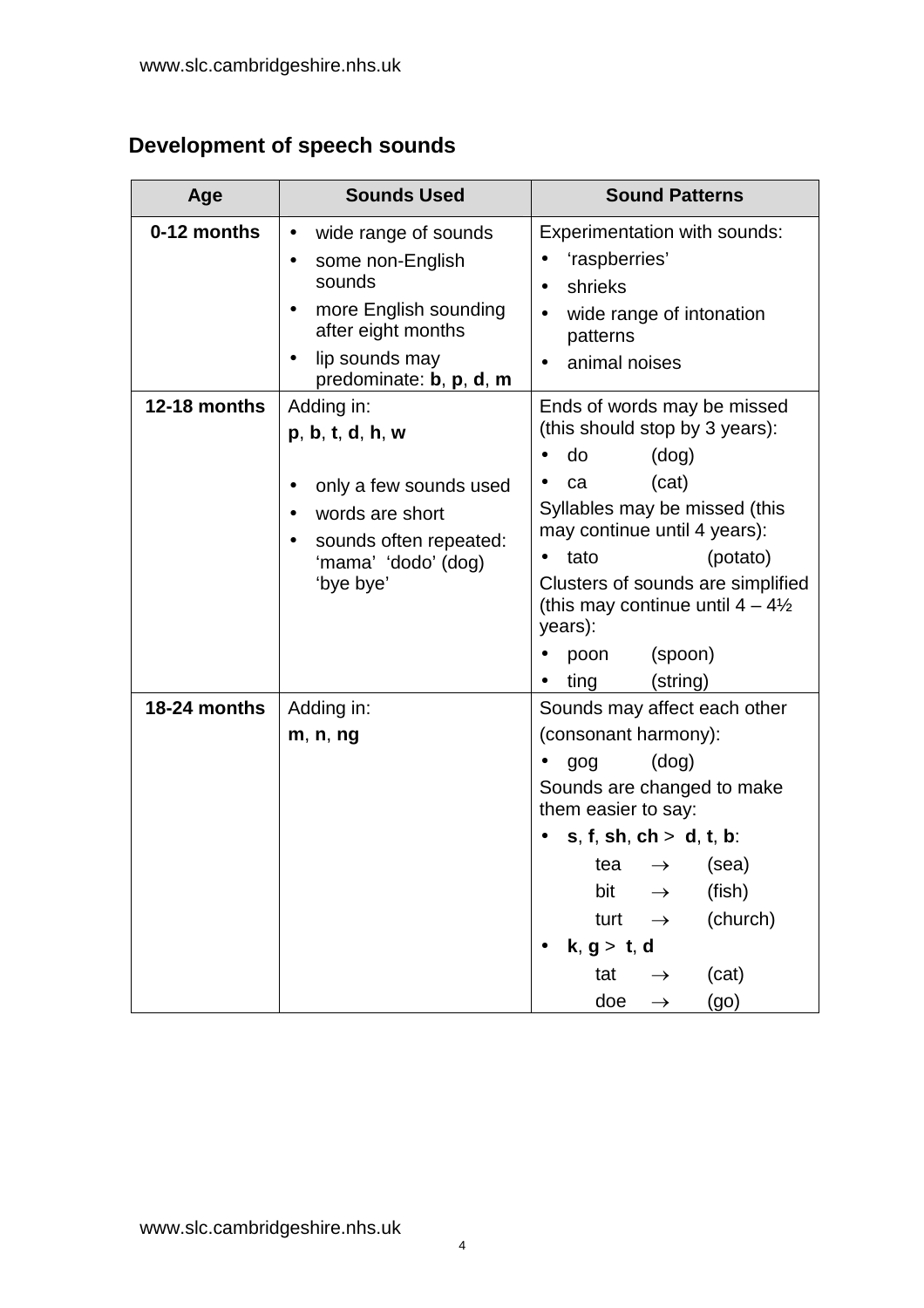### <span id="page-3-0"></span>**Development of speech sounds**

| Age          | <b>Sounds Used</b>                                                                                                                                                                                 | <b>Sound Patterns</b>                                                                                                                                                                                                                                                                                                                           |  |  |
|--------------|----------------------------------------------------------------------------------------------------------------------------------------------------------------------------------------------------|-------------------------------------------------------------------------------------------------------------------------------------------------------------------------------------------------------------------------------------------------------------------------------------------------------------------------------------------------|--|--|
| 0-12 months  | wide range of sounds<br>$\bullet$<br>some non-English<br>$\bullet$<br>sounds<br>more English sounding<br>$\bullet$<br>after eight months<br>lip sounds may<br>$\bullet$<br>predominate: b, p, d, m | Experimentation with sounds:<br>'raspberries'<br>shrieks<br>$\bullet$<br>wide range of intonation<br>٠<br>patterns<br>animal noises                                                                                                                                                                                                             |  |  |
| 12-18 months | Adding in:<br>p, b, t, d, h, w<br>only a few sounds used<br>$\bullet$<br>words are short<br>$\bullet$<br>sounds often repeated:<br>$\bullet$<br>'mama' 'dodo' (dog)<br>'bye bye'                   | Ends of words may be missed<br>(this should stop by 3 years):<br>(dog)<br>do<br>(cat)<br>ca<br>٠<br>Syllables may be missed (this<br>may continue until 4 years):<br>tato<br>(potato)<br>٠<br>Clusters of sounds are simplified<br>(this may continue until $4 - 4\frac{1}{2}$<br>years):<br>(spoon)<br>poon<br>ting<br>(string)                |  |  |
| 18-24 months | Adding in:<br>m, n, ng                                                                                                                                                                             | Sounds may affect each other<br>(consonant harmony):<br>(dog)<br>gog<br>Sounds are changed to make<br>them easier to say:<br>$s, f, sh, ch > d, t, b$ :<br>(sea)<br>tea<br>$\rightarrow$<br>(fish)<br>bit<br>$\rightarrow$<br>(church)<br>turt<br>$\rightarrow$<br>k, g > t, d<br>(cat)<br>tat<br>$\rightarrow$<br>doe<br>(go)<br>$\rightarrow$ |  |  |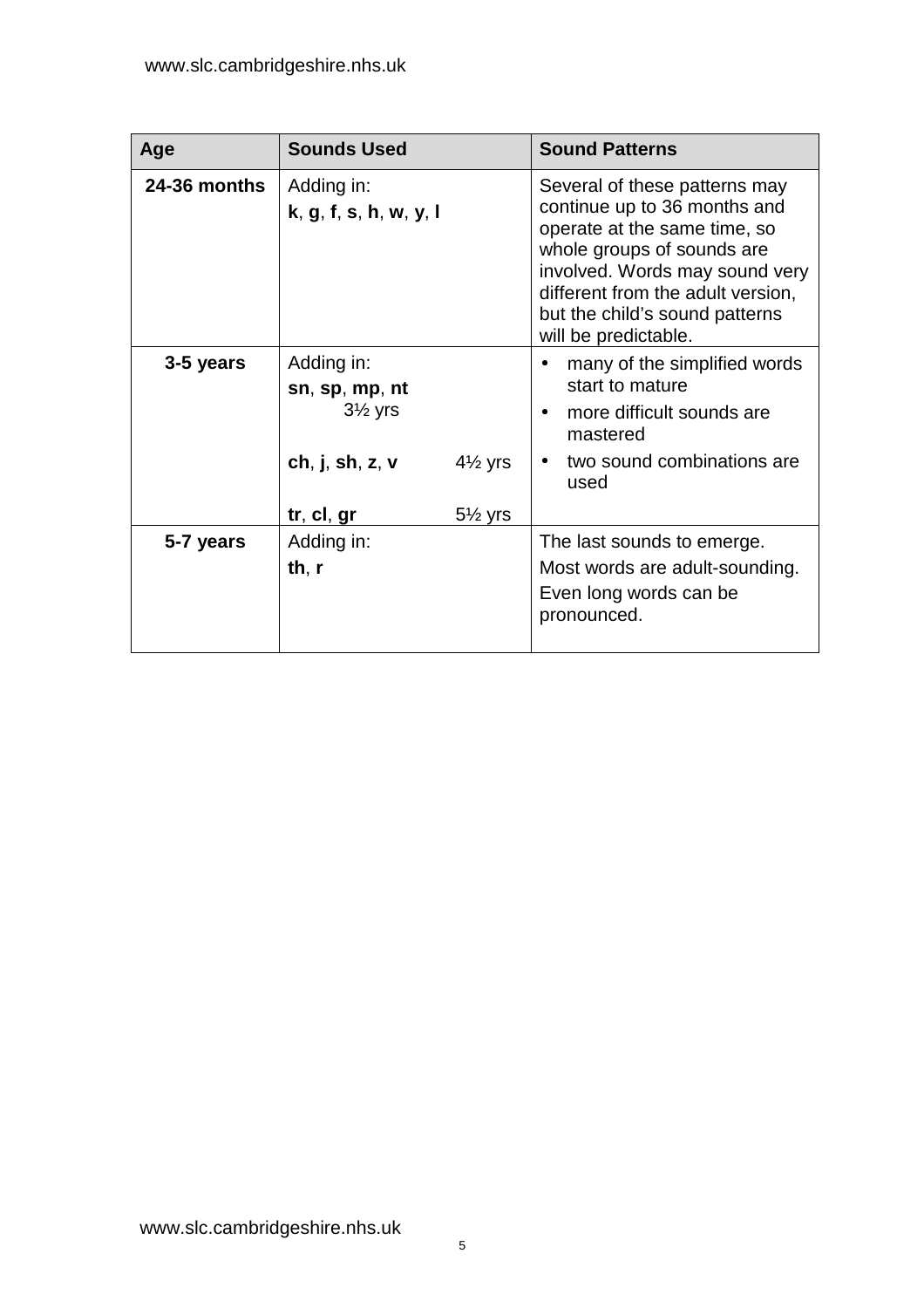| Age          | <b>Sounds Used</b>                                                            |                    | <b>Sound Patterns</b>                                                                                                                                                                                                                                        |
|--------------|-------------------------------------------------------------------------------|--------------------|--------------------------------------------------------------------------------------------------------------------------------------------------------------------------------------------------------------------------------------------------------------|
| 24-36 months | Adding in:<br>k, g, f, s, h, w, y, l                                          |                    | Several of these patterns may<br>continue up to 36 months and<br>operate at the same time, so<br>whole groups of sounds are<br>involved. Words may sound very<br>different from the adult version,<br>but the child's sound patterns<br>will be predictable. |
| 3-5 years    | Adding in:<br>sn, sp, mp, nt<br>$3\frac{1}{2}$ yrs<br>ch, $j$ , sh, $z$ , $v$ | $4\frac{1}{2}$ yrs | many of the simplified words<br>start to mature<br>more difficult sounds are<br>$\bullet$<br>mastered<br>two sound combinations are<br>used                                                                                                                  |
|              | tr, cl, gr                                                                    | $5\frac{1}{2}$ yrs |                                                                                                                                                                                                                                                              |
| 5-7 years    | Adding in:<br>th, $r$                                                         |                    | The last sounds to emerge.<br>Most words are adult-sounding.<br>Even long words can be<br>pronounced.                                                                                                                                                        |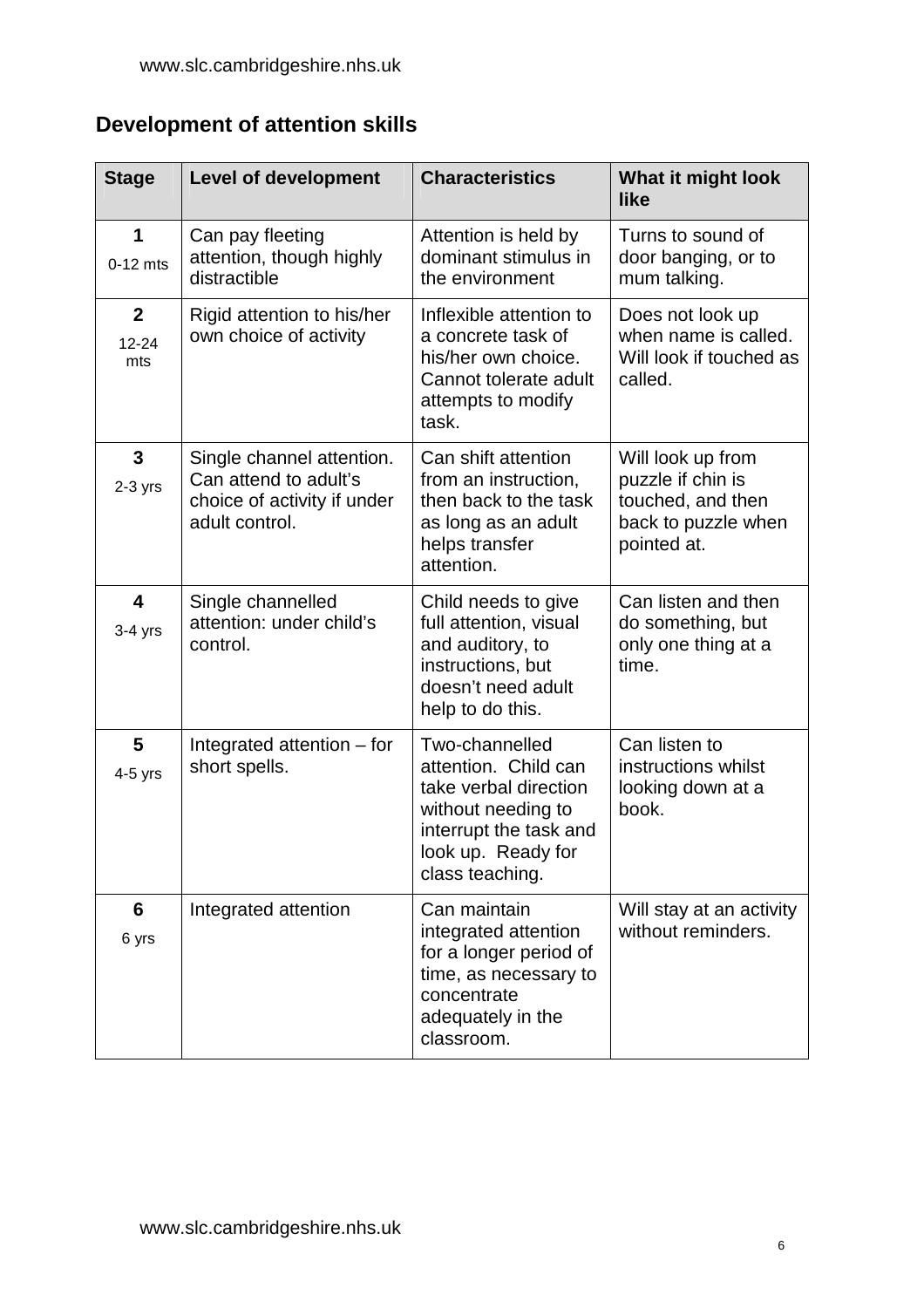## <span id="page-5-0"></span>**Development of attention skills**

| <b>Stage</b>                         | <b>Level of development</b>                                                                         | <b>Characteristics</b>                                                                                                                                   | What it might look<br>like                                                                        |
|--------------------------------------|-----------------------------------------------------------------------------------------------------|----------------------------------------------------------------------------------------------------------------------------------------------------------|---------------------------------------------------------------------------------------------------|
| 1<br>$0-12$ mts                      | Can pay fleeting<br>attention, though highly<br>distractible                                        | Attention is held by<br>dominant stimulus in<br>the environment                                                                                          | Turns to sound of<br>door banging, or to<br>mum talking.                                          |
| $\mathbf{2}$<br>12-24<br>mts         | Rigid attention to his/her<br>own choice of activity                                                | Inflexible attention to<br>a concrete task of<br>his/her own choice.<br>Cannot tolerate adult<br>attempts to modify<br>task.                             | Does not look up<br>when name is called.<br>Will look if touched as<br>called.                    |
| 3<br>$2-3$ yrs                       | Single channel attention.<br>Can attend to adult's<br>choice of activity if under<br>adult control. | Can shift attention<br>from an instruction,<br>then back to the task<br>as long as an adult<br>helps transfer<br>attention.                              | Will look up from<br>puzzle if chin is<br>touched, and then<br>back to puzzle when<br>pointed at. |
| $\overline{\mathbf{4}}$<br>$3-4$ yrs | Single channelled<br>attention: under child's<br>control.                                           | Child needs to give<br>full attention, visual<br>and auditory, to<br>instructions, but<br>doesn't need adult<br>help to do this.                         | Can listen and then<br>do something, but<br>only one thing at a<br>time.                          |
| 5<br>$4-5$ yrs                       | Integrated attention – for<br>short spells.                                                         | Two-channelled<br>attention. Child can<br>take verbal direction<br>without needing to<br>interrupt the task and<br>look up. Ready for<br>class teaching. | Can listen to<br>instructions whilst<br>looking down at a<br>book.                                |
| 6<br>6 yrs                           | Integrated attention                                                                                | Can maintain<br>integrated attention<br>for a longer period of<br>time, as necessary to<br>concentrate<br>adequately in the<br>classroom.                | Will stay at an activity<br>without reminders.                                                    |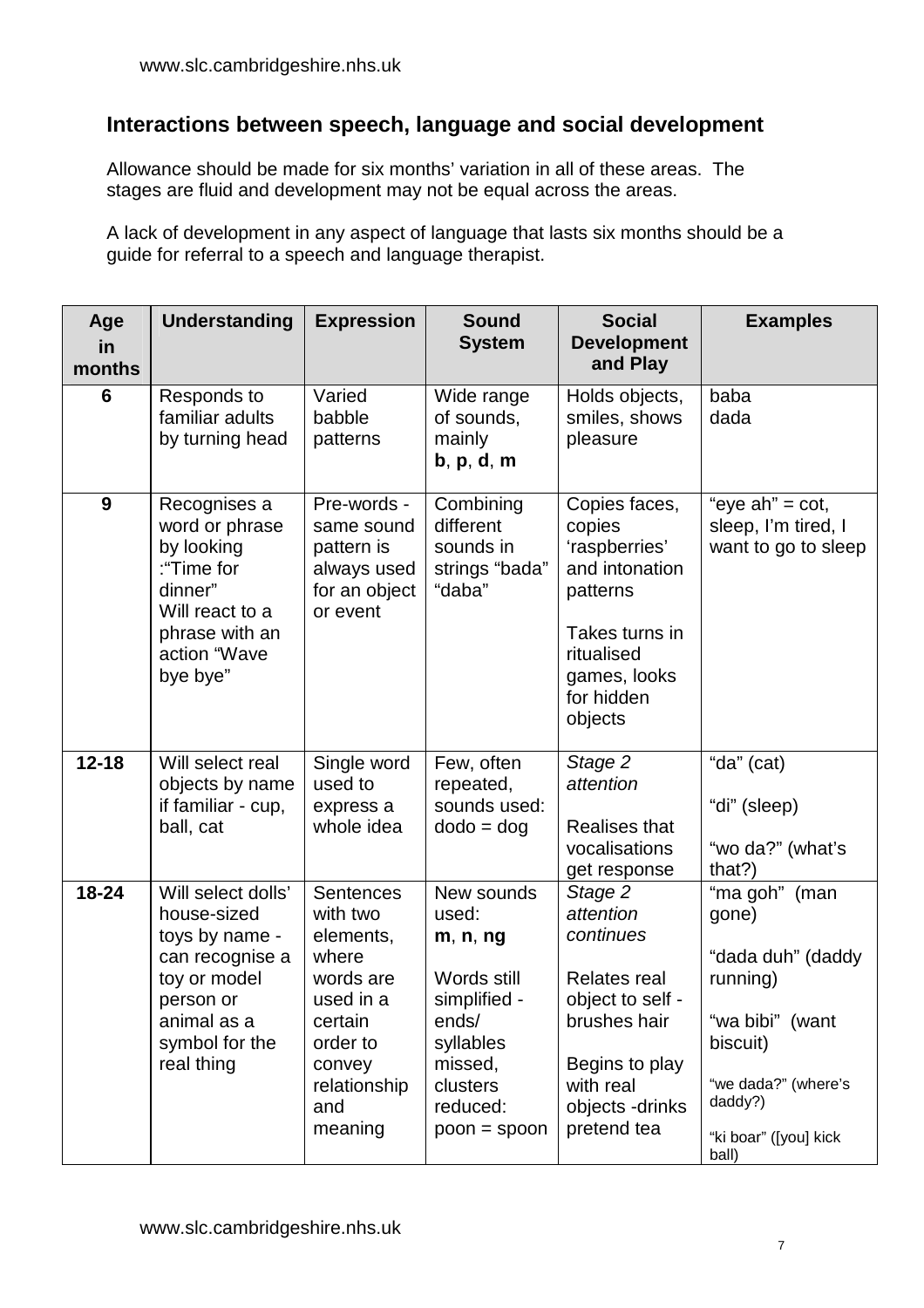#### <span id="page-6-0"></span>**Interactions between speech, language and social development**

Allowance should be made for six months' variation in all of these areas. The stages are fluid and development may not be equal across the areas.

A lack of development in any aspect of language that lasts six months should be a guide for referral to a speech and language therapist.

| Age<br>in<br>months | <b>Understanding</b>                                                                                                                               | <b>Expression</b>                                                                                                                               | <b>Sound</b><br><b>System</b>                                                                                                             | <b>Social</b><br><b>Development</b><br>and Play                                                                                                               | <b>Examples</b>                                                                                                                                            |
|---------------------|----------------------------------------------------------------------------------------------------------------------------------------------------|-------------------------------------------------------------------------------------------------------------------------------------------------|-------------------------------------------------------------------------------------------------------------------------------------------|---------------------------------------------------------------------------------------------------------------------------------------------------------------|------------------------------------------------------------------------------------------------------------------------------------------------------------|
| 6                   | Responds to<br>familiar adults<br>by turning head                                                                                                  | Varied<br>babble<br>patterns                                                                                                                    | Wide range<br>of sounds,<br>mainly<br>b, p, d, m                                                                                          | Holds objects,<br>smiles, shows<br>pleasure                                                                                                                   | baba<br>dada                                                                                                                                               |
| 9                   | Recognises a<br>word or phrase<br>by looking<br>:"Time for<br>dinner"<br>Will react to a<br>phrase with an<br>action "Wave<br>bye bye"             | Pre-words -<br>same sound<br>pattern is<br>always used<br>for an object<br>or event                                                             | Combining<br>different<br>sounds in<br>strings "bada"<br>"daba"                                                                           | Copies faces,<br>copies<br>'raspberries'<br>and intonation<br>patterns<br>Takes turns in<br>ritualised<br>games, looks<br>for hidden<br>objects               | "eye $ah$ " = $cot$ ,<br>sleep, I'm tired, I<br>want to go to sleep                                                                                        |
| $12 - 18$           | Will select real<br>objects by name<br>if familiar - cup,<br>ball, cat                                                                             | Single word<br>used to<br>express a<br>whole idea                                                                                               | Few, often<br>repeated,<br>sounds used:<br>$dodo = dog$                                                                                   | Stage 2<br>attention<br><b>Realises that</b><br>vocalisations<br>get response                                                                                 | "da" (cat)<br>"di" (sleep)<br>"wo da?" (what's<br>that?)                                                                                                   |
| 18-24               | Will select dolls'<br>house-sized<br>toys by name -<br>can recognise a<br>toy or model<br>person or<br>animal as a<br>symbol for the<br>real thing | <b>Sentences</b><br>with two<br>elements,<br>where<br>words are<br>used in a<br>certain<br>order to<br>convey<br>relationship<br>and<br>meaning | New sounds<br>used:<br>m, n, ng<br>Words still<br>simplified -<br>ends/<br>syllables<br>missed,<br>clusters<br>reduced:<br>$poon = spoon$ | Stage 2<br>attention<br>continues<br><b>Relates real</b><br>object to self -<br>brushes hair<br>Begins to play<br>with real<br>objects -drinks<br>pretend tea | "ma goh" (man<br>gone)<br>"dada duh" (daddy<br>running)<br>"wa bibi" (want<br>biscuit)<br>"we dada?" (where's<br>daddy?)<br>"ki boar" ([you] kick<br>ball) |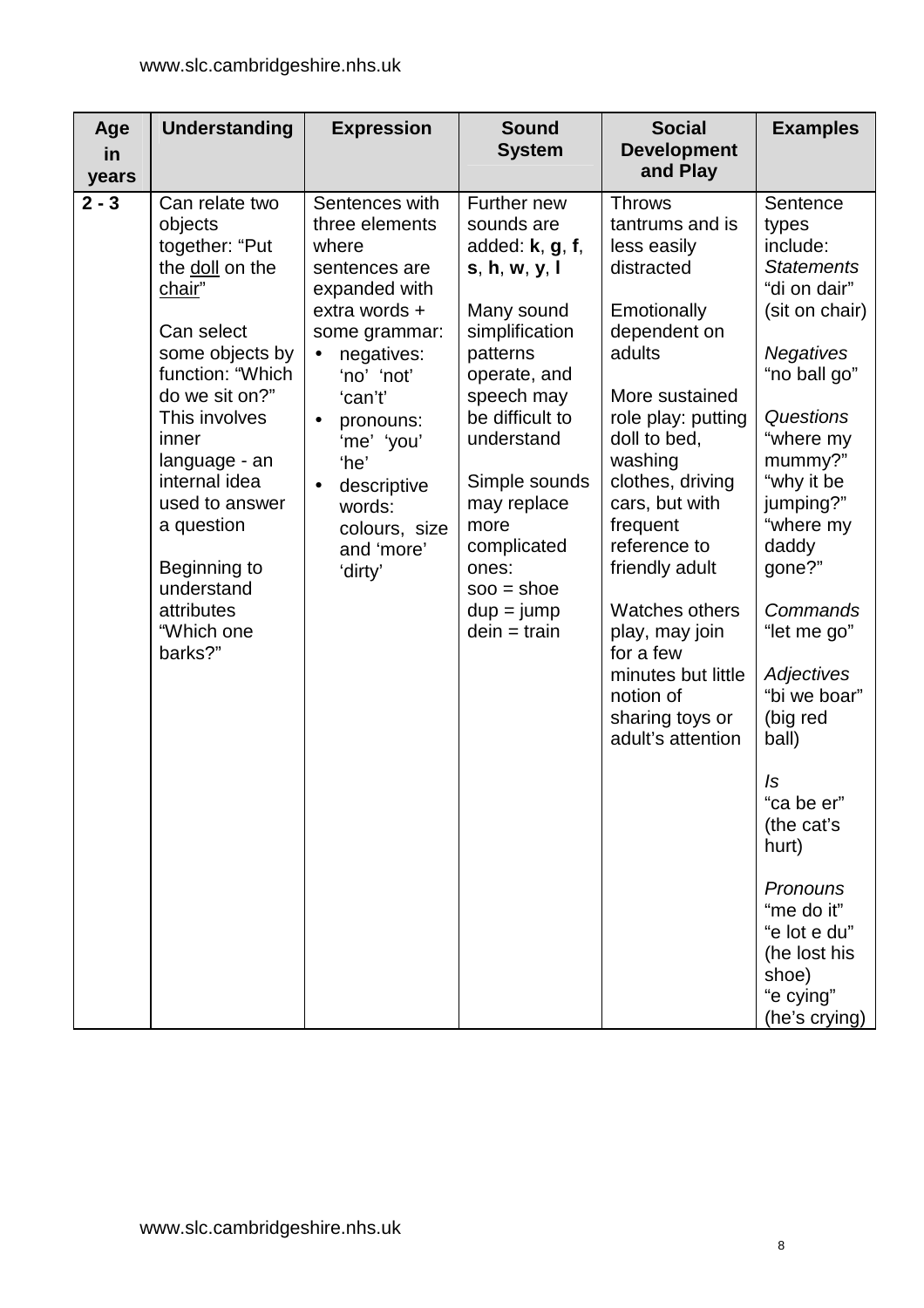| Age<br>in<br>years | <b>Understanding</b>                                                                                                                                                                                                                                                                                             | <b>Expression</b>                                                                                                                                                                                                                                                                    | <b>Sound</b><br><b>System</b>                                                                                                                                                                                                                                                                  | <b>Social</b><br><b>Development</b><br>and Play                                                                                                                                                                                                                                                                                                                                           | <b>Examples</b>                                                                                                                                                                                                                                                                                                                                                                                                                                    |
|--------------------|------------------------------------------------------------------------------------------------------------------------------------------------------------------------------------------------------------------------------------------------------------------------------------------------------------------|--------------------------------------------------------------------------------------------------------------------------------------------------------------------------------------------------------------------------------------------------------------------------------------|------------------------------------------------------------------------------------------------------------------------------------------------------------------------------------------------------------------------------------------------------------------------------------------------|-------------------------------------------------------------------------------------------------------------------------------------------------------------------------------------------------------------------------------------------------------------------------------------------------------------------------------------------------------------------------------------------|----------------------------------------------------------------------------------------------------------------------------------------------------------------------------------------------------------------------------------------------------------------------------------------------------------------------------------------------------------------------------------------------------------------------------------------------------|
| $2 - 3$            | Can relate two<br>objects<br>together: "Put<br>the doll on the<br>chair"<br>Can select<br>some objects by<br>function: "Which<br>do we sit on?"<br>This involves<br>inner<br>language - an<br>internal idea<br>used to answer<br>a question<br>Beginning to<br>understand<br>attributes<br>"Which one<br>barks?" | Sentences with<br>three elements<br>where<br>sentences are<br>expanded with<br>extra words +<br>some grammar:<br>negatives:<br>$\bullet$<br>'no' 'not'<br>'can't'<br>pronouns:<br>$\bullet$<br>'me' 'you'<br>'he'<br>descriptive<br>words:<br>colours, size<br>and 'more'<br>'dirty' | Further new<br>sounds are<br>added: $k, g, f, g$<br>s, h, w, y, l<br>Many sound<br>simplification<br>patterns<br>operate, and<br>speech may<br>be difficult to<br>understand<br>Simple sounds<br>may replace<br>more<br>complicated<br>ones:<br>$soo = shoe$<br>$dup = jump$<br>$dein = train$ | <b>Throws</b><br>tantrums and is<br>less easily<br>distracted<br>Emotionally<br>dependent on<br>adults<br>More sustained<br>role play: putting<br>doll to bed,<br>washing<br>clothes, driving<br>cars, but with<br>frequent<br>reference to<br>friendly adult<br>Watches others<br>play, may join<br>for a few<br>minutes but little<br>notion of<br>sharing toys or<br>adult's attention | Sentence<br>types<br>include:<br><b>Statements</b><br>"di on dair"<br>(sit on chair)<br><b>Negatives</b><br>"no ball go"<br>Questions<br>"where my<br>mummy?"<br>"why it be<br>jumping?"<br>"where my<br>daddy<br>gone?"<br>Commands<br>"let me go"<br>Adjectives<br>"bi we boar"<br>(big red<br>ball)<br>Is<br>"ca be er"<br>(the cat's<br>hurt)<br>Pronouns<br>"me do it"<br>"e lot e du"<br>(he lost his<br>shoe)<br>"e cying"<br>(he's crying) |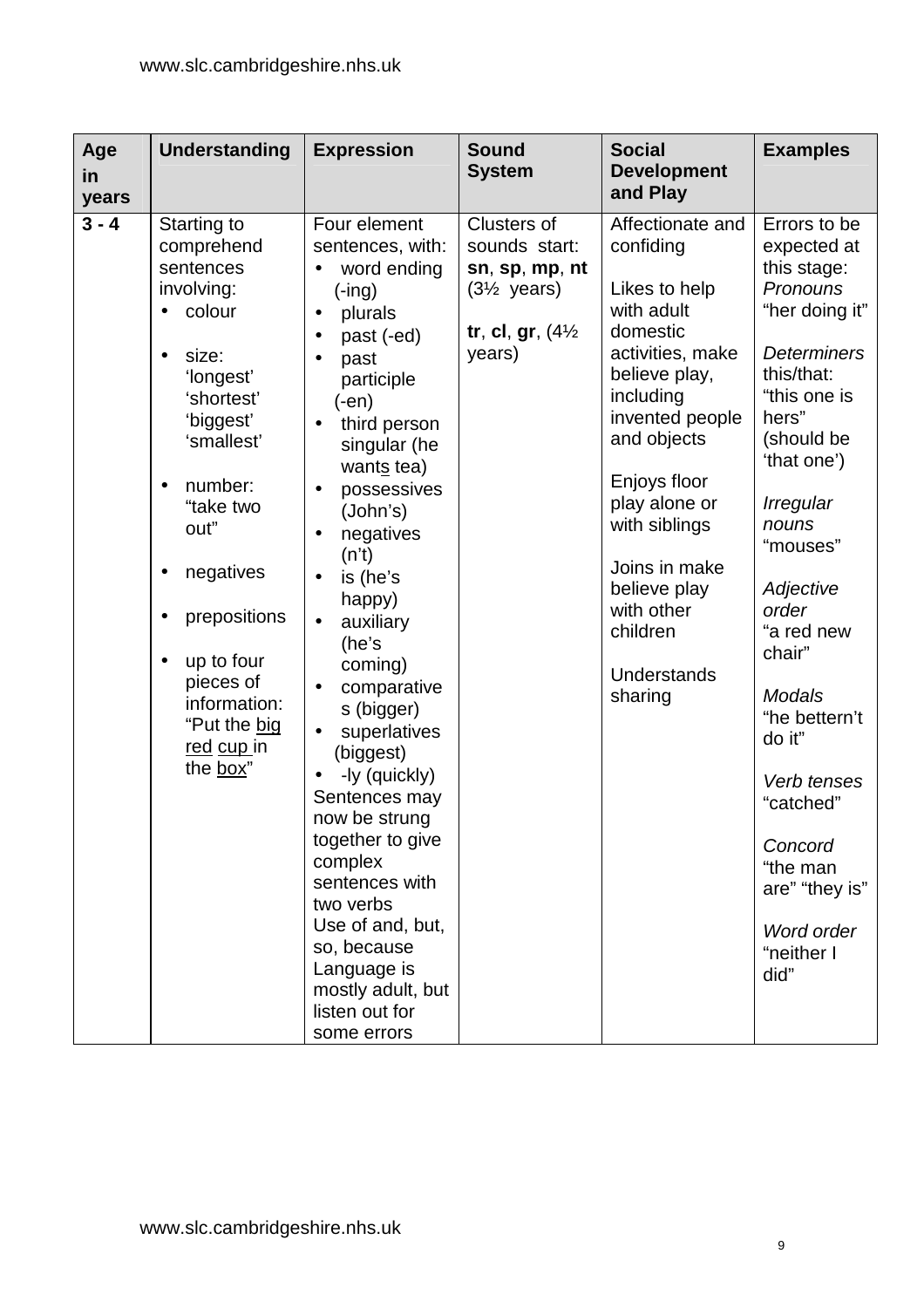| Age<br>in<br>years | <b>Understanding</b>                                                                                                                                                                                                                                                                                                                             | <b>Expression</b>                                                                                                                                                                                                                                                                                                                                                                                                                                                                                                                                                           | <b>Sound</b><br><b>System</b>                                                                                             | <b>Social</b><br><b>Development</b><br>and Play                                                                                                                                                                                                                                                            | <b>Examples</b>                                                                                                                                                                                                                                                                                                                                                                                                |
|--------------------|--------------------------------------------------------------------------------------------------------------------------------------------------------------------------------------------------------------------------------------------------------------------------------------------------------------------------------------------------|-----------------------------------------------------------------------------------------------------------------------------------------------------------------------------------------------------------------------------------------------------------------------------------------------------------------------------------------------------------------------------------------------------------------------------------------------------------------------------------------------------------------------------------------------------------------------------|---------------------------------------------------------------------------------------------------------------------------|------------------------------------------------------------------------------------------------------------------------------------------------------------------------------------------------------------------------------------------------------------------------------------------------------------|----------------------------------------------------------------------------------------------------------------------------------------------------------------------------------------------------------------------------------------------------------------------------------------------------------------------------------------------------------------------------------------------------------------|
| $3 - 4$            | Starting to<br>comprehend<br>sentences<br>involving:<br>colour<br>$\bullet$<br>size:<br>'longest'<br>'shortest'<br>'biggest'<br>'smallest'<br>number:<br>$\bullet$<br>"take two<br>out"<br>negatives<br>$\bullet$<br>prepositions<br>$\bullet$<br>up to four<br>$\bullet$<br>pieces of<br>information:<br>"Put the big<br>red cup in<br>the box" | Four element<br>sentences, with:<br>word ending<br>$(-ing)$<br>plurals<br>$\bullet$<br>past (-ed)<br>past<br>participle<br>$(-en)$<br>third person<br>singular (he<br>wants tea)<br>possessives<br>(John's)<br>negatives<br>(n't)<br>is (he's<br>happy)<br>auxiliary<br>(he's<br>coming)<br>comparative<br>s (bigger)<br>superlatives<br>(biggest)<br>-ly (quickly)<br>Sentences may<br>now be strung<br>together to give<br>complex<br>sentences with<br>two verbs<br>Use of and, but,<br>so, because<br>Language is<br>mostly adult, but<br>listen out for<br>some errors | <b>Clusters of</b><br>sounds start:<br>sn, sp, mp, nt<br>$(3\frac{1}{2}$ years)<br>tr, cl, gr, $(4\frac{1}{2})$<br>years) | Affectionate and<br>confiding<br>Likes to help<br>with adult<br>domestic<br>activities, make<br>believe play,<br>including<br>invented people<br>and objects<br>Enjoys floor<br>play alone or<br>with siblings<br>Joins in make<br>believe play<br>with other<br>children<br><b>Understands</b><br>sharing | Errors to be<br>expected at<br>this stage:<br>Pronouns<br>"her doing it"<br><b>Determiners</b><br>this/that:<br>"this one is<br>hers"<br>(should be<br>'that one')<br><b>Irregular</b><br>nouns<br>"mouses"<br>Adjective<br>order<br>"a red new<br>chair"<br><b>Modals</b><br>"he bettern't<br>do it"<br>Verb tenses<br>"catched"<br>Concord<br>"the man<br>are" "they is"<br>Word order<br>"neither I<br>did" |